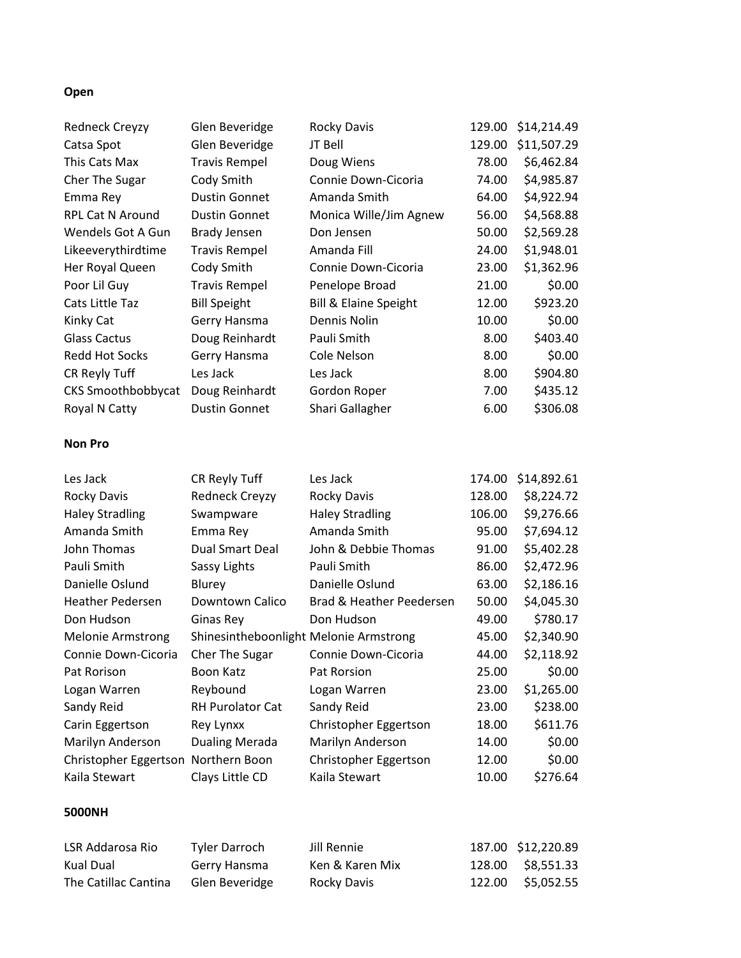# **Open**

| <b>Redneck Creyzy</b>               | Glen Beveridge                         | <b>Rocky Davis</b>               | 129.00 | \$14,214.49 |
|-------------------------------------|----------------------------------------|----------------------------------|--------|-------------|
| Catsa Spot                          | Glen Beveridge                         | JT Bell                          | 129.00 | \$11,507.29 |
| This Cats Max                       | <b>Travis Rempel</b>                   | Doug Wiens                       | 78.00  | \$6,462.84  |
| Cher The Sugar                      | Cody Smith                             | Connie Down-Cicoria              | 74.00  | \$4,985.87  |
| Emma Rey                            | <b>Dustin Gonnet</b>                   | Amanda Smith                     | 64.00  | \$4,922.94  |
| RPL Cat N Around                    | <b>Dustin Gonnet</b>                   | Monica Wille/Jim Agnew           | 56.00  | \$4,568.88  |
| Wendels Got A Gun                   | <b>Brady Jensen</b>                    | Don Jensen                       | 50.00  | \$2,569.28  |
| Likeeverythirdtime                  | <b>Travis Rempel</b>                   | Amanda Fill                      | 24.00  | \$1,948.01  |
| Her Royal Queen                     | Cody Smith                             | Connie Down-Cicoria              | 23.00  | \$1,362.96  |
| Poor Lil Guy                        | <b>Travis Rempel</b>                   | Penelope Broad                   | 21.00  | \$0.00      |
| Cats Little Taz                     | <b>Bill Speight</b>                    | <b>Bill &amp; Elaine Speight</b> | 12.00  | \$923.20    |
| Kinky Cat                           | Gerry Hansma                           | Dennis Nolin                     | 10.00  | \$0.00      |
| <b>Glass Cactus</b>                 | Doug Reinhardt                         | Pauli Smith                      | 8.00   | \$403.40    |
| <b>Redd Hot Socks</b>               | Gerry Hansma                           | Cole Nelson                      | 8.00   | \$0.00      |
| CR Reyly Tuff                       | Les Jack                               | Les Jack                         | 8.00   | \$904.80    |
| <b>CKS Smoothbobbycat</b>           | Doug Reinhardt                         | Gordon Roper                     | 7.00   | \$435.12    |
| Royal N Catty                       | <b>Dustin Gonnet</b>                   | Shari Gallagher                  | 6.00   | \$306.08    |
| <b>Non Pro</b>                      |                                        |                                  |        |             |
| Les Jack                            | CR Reyly Tuff                          | Les Jack                         | 174.00 | \$14,892.61 |
| <b>Rocky Davis</b>                  | <b>Redneck Creyzy</b>                  | Rocky Davis                      | 128.00 | \$8,224.72  |
| <b>Haley Stradling</b>              |                                        | <b>Haley Stradling</b>           |        | \$9,276.66  |
|                                     | Swampware                              |                                  | 106.00 |             |
| Amanda Smith                        | Emma Rey                               | Amanda Smith                     | 95.00  | \$7,694.12  |
| John Thomas                         | <b>Dual Smart Deal</b>                 | John & Debbie Thomas             | 91.00  | \$5,402.28  |
| Pauli Smith                         | Sassy Lights                           | Pauli Smith                      | 86.00  | \$2,472.96  |
| Danielle Oslund                     | Blurey                                 | Danielle Oslund                  | 63.00  | \$2,186.16  |
| <b>Heather Pedersen</b>             | Downtown Calico                        | Brad & Heather Peedersen         | 50.00  | \$4,045.30  |
| Don Hudson                          | Ginas Rey                              | Don Hudson                       | 49.00  | \$780.17    |
| <b>Melonie Armstrong</b>            | Shinesintheboonlight Melonie Armstrong |                                  | 45.00  | \$2,340.90  |
| Connie Down-Cicoria                 | <b>Cher The Sugar</b>                  | Connie Down-Cicoria              | 44.00  | \$2,118.92  |
| Pat Rorison                         | Boon Katz                              | Pat Rorsion                      | 25.00  | \$0.00      |
| Logan Warren                        | Reybound                               | Logan Warren                     | 23.00  | \$1,265.00  |
| Sandy Reid                          | RH Purolator Cat                       | Sandy Reid                       | 23.00  | \$238.00    |
|                                     | Rey Lynxx                              | Christopher Eggertson            | 18.00  | \$611.76    |
| Carin Eggertson<br>Marilyn Anderson | <b>Dualing Merada</b>                  | Marilyn Anderson                 | 14.00  | \$0.00      |
| Christopher Eggertson Northern Boon |                                        | Christopher Eggertson            | 12.00  | \$0.00      |
| Kaila Stewart                       | Clays Little CD                        | Kaila Stewart                    | 10.00  | \$276.64    |

## **5000NH**

| LSR Addarosa Rio     | Tyler Darroch  | Jill Rennie     | 187.00 \$12,220.89 |
|----------------------|----------------|-----------------|--------------------|
| Kual Dual            | Gerry Hansma   | Ken & Karen Mix | 128.00 \$8,551.33  |
| The Catillac Cantina | Glen Beveridge | Rocky Davis     | 122.00 \$5,052.55  |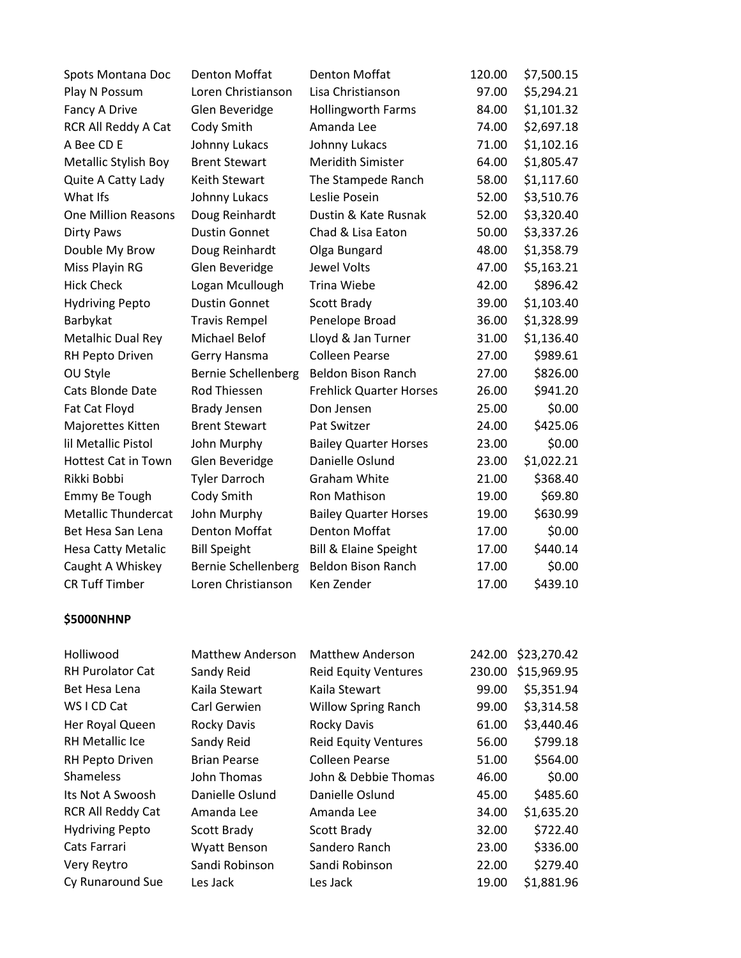| Spots Montana Doc          | <b>Denton Moffat</b>       | <b>Denton Moffat</b>           | 120.00 | \$7,500.15 |
|----------------------------|----------------------------|--------------------------------|--------|------------|
| Play N Possum              | Loren Christianson         | Lisa Christianson              | 97.00  | \$5,294.21 |
| Fancy A Drive              | Glen Beveridge             | <b>Hollingworth Farms</b>      | 84.00  | \$1,101.32 |
| RCR All Reddy A Cat        | Cody Smith                 | Amanda Lee                     | 74.00  | \$2,697.18 |
| A Bee CD E                 | Johnny Lukacs              | Johnny Lukacs                  | 71.00  | \$1,102.16 |
| Metallic Stylish Boy       | <b>Brent Stewart</b>       | <b>Meridith Simister</b>       | 64.00  | \$1,805.47 |
| Quite A Catty Lady         | <b>Keith Stewart</b>       | The Stampede Ranch             | 58.00  | \$1,117.60 |
| What Ifs                   | Johnny Lukacs              | Leslie Posein                  | 52.00  | \$3,510.76 |
| <b>One Million Reasons</b> | Doug Reinhardt             | Dustin & Kate Rusnak           | 52.00  | \$3,320.40 |
| Dirty Paws                 | <b>Dustin Gonnet</b>       | Chad & Lisa Eaton              | 50.00  | \$3,337.26 |
| Double My Brow             | Doug Reinhardt             | Olga Bungard                   | 48.00  | \$1,358.79 |
| Miss Playin RG             | Glen Beveridge             | Jewel Volts                    | 47.00  | \$5,163.21 |
| <b>Hick Check</b>          | Logan Mcullough            | <b>Trina Wiebe</b>             | 42.00  | \$896.42   |
| <b>Hydriving Pepto</b>     | <b>Dustin Gonnet</b>       | Scott Brady                    | 39.00  | \$1,103.40 |
| Barbykat                   | <b>Travis Rempel</b>       | Penelope Broad                 | 36.00  | \$1,328.99 |
| Metalhic Dual Rey          | <b>Michael Belof</b>       | Lloyd & Jan Turner             | 31.00  | \$1,136.40 |
| RH Pepto Driven            | Gerry Hansma               | <b>Colleen Pearse</b>          | 27.00  | \$989.61   |
| OU Style                   | <b>Bernie Schellenberg</b> | <b>Beldon Bison Ranch</b>      | 27.00  | \$826.00   |
| Cats Blonde Date           | Rod Thiessen               | <b>Frehlick Quarter Horses</b> | 26.00  | \$941.20   |
| Fat Cat Floyd              | <b>Brady Jensen</b>        | Don Jensen                     | 25.00  | \$0.00     |
| Majorettes Kitten          | <b>Brent Stewart</b>       | Pat Switzer                    | 24.00  | \$425.06   |
| lil Metallic Pistol        | John Murphy                | <b>Bailey Quarter Horses</b>   | 23.00  | \$0.00     |
| <b>Hottest Cat in Town</b> | Glen Beveridge             | Danielle Oslund                | 23.00  | \$1,022.21 |
| Rikki Bobbi                | <b>Tyler Darroch</b>       | <b>Graham White</b>            | 21.00  | \$368.40   |
| Emmy Be Tough              | Cody Smith                 | Ron Mathison                   | 19.00  | \$69.80    |
| Metallic Thundercat        | John Murphy                | <b>Bailey Quarter Horses</b>   | 19.00  | \$630.99   |
| Bet Hesa San Lena          | <b>Denton Moffat</b>       | <b>Denton Moffat</b>           | 17.00  | \$0.00     |
| Hesa Catty Metalic         | <b>Bill Speight</b>        | Bill & Elaine Speight          | 17.00  | \$440.14   |
| Caught A Whiskey           | <b>Bernie Schellenberg</b> | <b>Beldon Bison Ranch</b>      | 17.00  | \$0.00     |
| <b>CR Tuff Timber</b>      | Loren Christianson         | Ken Zender                     | 17.00  | \$439.10   |
|                            |                            |                                |        |            |

## **\$5000NHNP**

| Holliwood              | <b>Matthew Anderson</b> | <b>Matthew Anderson</b>     | 242.00 | \$23,270.42 |
|------------------------|-------------------------|-----------------------------|--------|-------------|
| RH Purolator Cat       | Sandy Reid              | <b>Reid Equity Ventures</b> | 230.00 | \$15,969.95 |
| Bet Hesa Lena          | Kaila Stewart           | Kaila Stewart               | 99.00  | \$5,351.94  |
| WS I CD Cat            | Carl Gerwien            | <b>Willow Spring Ranch</b>  | 99.00  | \$3,314.58  |
| Her Royal Queen        | <b>Rocky Davis</b>      | Rocky Davis                 | 61.00  | \$3,440.46  |
| RH Metallic Ice        | Sandy Reid              | <b>Reid Equity Ventures</b> | 56.00  | \$799.18    |
| RH Pepto Driven        | <b>Brian Pearse</b>     | <b>Colleen Pearse</b>       | 51.00  | \$564.00    |
| <b>Shameless</b>       | John Thomas             | John & Debbie Thomas        | 46.00  | \$0.00      |
| Its Not A Swoosh       | Danielle Oslund         | Danielle Oslund             | 45.00  | \$485.60    |
| RCR All Reddy Cat      | Amanda Lee              | Amanda Lee                  | 34.00  | \$1,635.20  |
| <b>Hydriving Pepto</b> | Scott Brady             | Scott Brady                 | 32.00  | \$722.40    |
| Cats Farrari           | <b>Wyatt Benson</b>     | Sandero Ranch               | 23.00  | \$336.00    |
| Very Reytro            | Sandi Robinson          | Sandi Robinson              | 22.00  | \$279.40    |
| Cy Runaround Sue       | Les Jack                | Les Jack                    | 19.00  | \$1,881.96  |
|                        |                         |                             |        |             |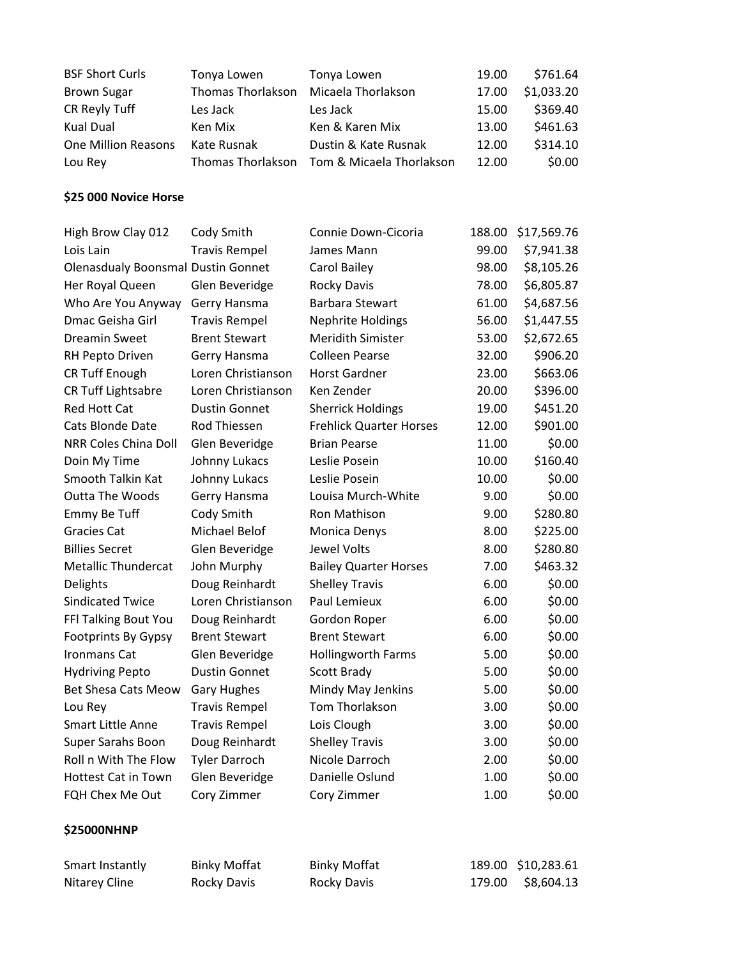| <b>BSF Short Curls</b>     | Tonya Lowen       | Tonya Lowen              | 19.00 | \$761.64   |
|----------------------------|-------------------|--------------------------|-------|------------|
| <b>Brown Sugar</b>         | Thomas Thorlakson | Micaela Thorlakson       | 17.00 | \$1,033.20 |
| CR Reyly Tuff              | Les Jack          | Les Jack                 | 15.00 | \$369.40   |
| Kual Dual                  | Ken Mix           | Ken & Karen Mix          | 13.00 | \$461.63   |
| <b>One Million Reasons</b> | Kate Rusnak       | Dustin & Kate Rusnak     | 12.00 | \$314.10   |
| Lou Rev                    | Thomas Thorlakson | Tom & Micaela Thorlakson | 12.00 | \$0.00     |

### **\$25 000 Novice Horse**

| Cody Smith           | Connie Down-Cicoria                       | 188.00 | \$17,569.76 |
|----------------------|-------------------------------------------|--------|-------------|
| <b>Travis Rempel</b> | James Mann                                | 99.00  | \$7,941.38  |
|                      | Carol Bailey                              | 98.00  | \$8,105.26  |
| Glen Beveridge       | <b>Rocky Davis</b>                        | 78.00  | \$6,805.87  |
| Gerry Hansma         | Barbara Stewart                           | 61.00  | \$4,687.56  |
| <b>Travis Rempel</b> | <b>Nephrite Holdings</b>                  | 56.00  | \$1,447.55  |
| <b>Brent Stewart</b> | <b>Meridith Simister</b>                  | 53.00  | \$2,672.65  |
| Gerry Hansma         | <b>Colleen Pearse</b>                     | 32.00  | \$906.20    |
| Loren Christianson   | <b>Horst Gardner</b>                      | 23.00  | \$663.06    |
| Loren Christianson   | Ken Zender                                | 20.00  | \$396.00    |
| <b>Dustin Gonnet</b> | <b>Sherrick Holdings</b>                  | 19.00  | \$451.20    |
| Rod Thiessen         | <b>Frehlick Quarter Horses</b>            | 12.00  | \$901.00    |
| Glen Beveridge       | <b>Brian Pearse</b>                       | 11.00  | \$0.00      |
| Johnny Lukacs        | Leslie Posein                             | 10.00  | \$160.40    |
| Johnny Lukacs        | Leslie Posein                             | 10.00  | \$0.00      |
| Gerry Hansma         | Louisa Murch-White                        | 9.00   | \$0.00      |
| Cody Smith           | Ron Mathison                              | 9.00   | \$280.80    |
| Michael Belof        | Monica Denys                              | 8.00   | \$225.00    |
| Glen Beveridge       | <b>Jewel Volts</b>                        | 8.00   | \$280.80    |
| John Murphy          | <b>Bailey Quarter Horses</b>              | 7.00   | \$463.32    |
| Doug Reinhardt       | <b>Shelley Travis</b>                     | 6.00   | \$0.00      |
| Loren Christianson   | Paul Lemieux                              | 6.00   | \$0.00      |
| Doug Reinhardt       | Gordon Roper                              | 6.00   | \$0.00      |
| <b>Brent Stewart</b> | <b>Brent Stewart</b>                      | 6.00   | \$0.00      |
| Glen Beveridge       | <b>Hollingworth Farms</b>                 | 5.00   | \$0.00      |
| <b>Dustin Gonnet</b> | Scott Brady                               | 5.00   | \$0.00      |
| <b>Gary Hughes</b>   | Mindy May Jenkins                         | 5.00   | \$0.00      |
| <b>Travis Rempel</b> | Tom Thorlakson                            | 3.00   | \$0.00      |
| <b>Travis Rempel</b> | Lois Clough                               | 3.00   | \$0.00      |
| Doug Reinhardt       | <b>Shelley Travis</b>                     | 3.00   | \$0.00      |
| <b>Tyler Darroch</b> | Nicole Darroch                            | 2.00   | \$0.00      |
| Glen Beveridge       | Danielle Oslund                           | 1.00   | \$0.00      |
| Cory Zimmer          | Cory Zimmer                               | 1.00   | \$0.00      |
|                      |                                           |        |             |
|                      | <b>Olenasdualy Boonsmal Dustin Gonnet</b> |        |             |

| Smart Instantly | <b>Binky Moffat</b> | <b>Binky Moffat</b> | 189.00 \$10,283.61 |
|-----------------|---------------------|---------------------|--------------------|
| Nitarey Cline   | Rocky Davis         | Rocky Davis         | 179.00 \$8,604.13  |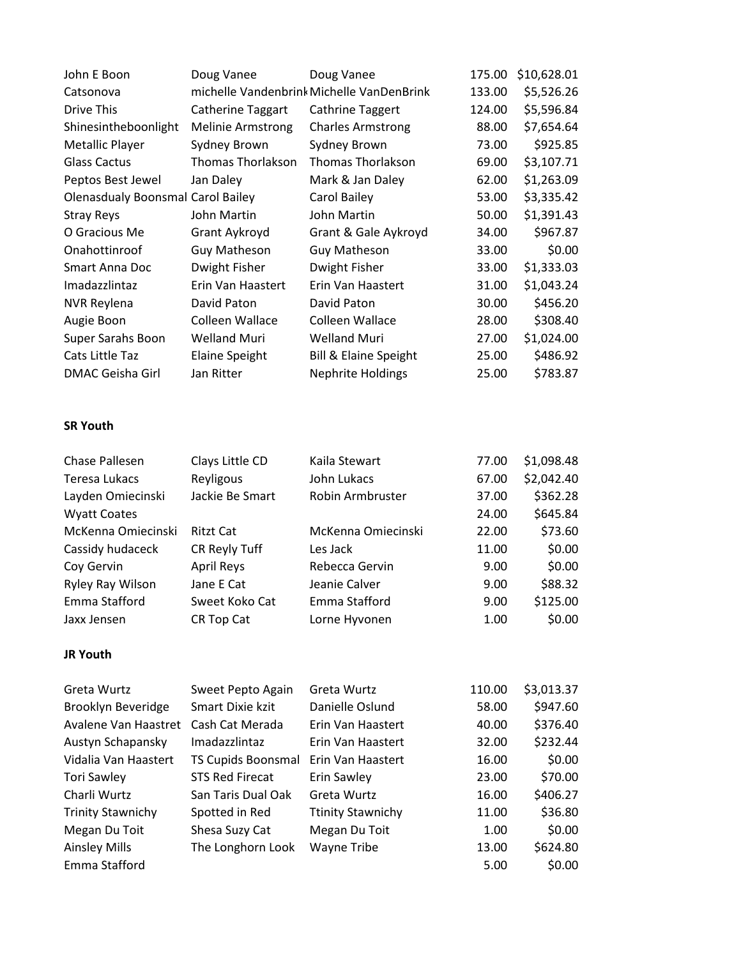| John E Boon                              | Doug Vanee               | Doug Vanee                                | 175.00 | \$10,628.01 |
|------------------------------------------|--------------------------|-------------------------------------------|--------|-------------|
| Catsonova                                |                          | michelle Vandenbrink Michelle VanDenBrink | 133.00 | \$5,526.26  |
| Drive This                               | <b>Catherine Taggart</b> | <b>Cathrine Taggert</b>                   | 124.00 | \$5,596.84  |
| Shinesintheboonlight                     | <b>Melinie Armstrong</b> | <b>Charles Armstrong</b>                  | 88.00  | \$7,654.64  |
| Metallic Player                          | Sydney Brown             | Sydney Brown                              | 73.00  | \$925.85    |
| <b>Glass Cactus</b>                      | Thomas Thorlakson        | <b>Thomas Thorlakson</b>                  | 69.00  | \$3,107.71  |
| Peptos Best Jewel                        | Jan Daley                | Mark & Jan Daley                          | 62.00  | \$1,263.09  |
| <b>Olenasdualy Boonsmal Carol Bailey</b> |                          | Carol Bailey                              | 53.00  | \$3,335.42  |
| <b>Stray Reys</b>                        | John Martin              | John Martin                               | 50.00  | \$1,391.43  |
| O Gracious Me                            | Grant Aykroyd            | Grant & Gale Aykroyd                      | 34.00  | \$967.87    |
| Onahottinroof                            | <b>Guy Matheson</b>      | <b>Guy Matheson</b>                       | 33.00  | \$0.00      |
| Smart Anna Doc                           | Dwight Fisher            | Dwight Fisher                             | 33.00  | \$1,333.03  |
| Imadazzlintaz                            | Erin Van Haastert        | Erin Van Haastert                         | 31.00  | \$1,043.24  |
| <b>NVR Reylena</b>                       | David Paton              | David Paton                               | 30.00  | \$456.20    |
| Augie Boon                               | Colleen Wallace          | Colleen Wallace                           | 28.00  | \$308.40    |
| Super Sarahs Boon                        | Welland Muri             | Welland Muri                              | 27.00  | \$1,024.00  |
| Cats Little Taz                          | <b>Elaine Speight</b>    | Bill & Elaine Speight                     | 25.00  | \$486.92    |
| DMAC Geisha Girl                         | Jan Ritter               | <b>Nephrite Holdings</b>                  | 25.00  | \$783.87    |

#### **SR Youth**

| Clays Little CD   | Kaila Stewart      | 77.00 | \$1,098.48 |
|-------------------|--------------------|-------|------------|
| Reyligous         | John Lukacs        | 67.00 | \$2,042.40 |
| Jackie Be Smart   | Robin Armbruster   | 37.00 | \$362.28   |
|                   |                    | 24.00 | \$645.84   |
| <b>Ritzt Cat</b>  | McKenna Omiecinski | 22.00 | \$73.60    |
| CR Reyly Tuff     | Les Jack           | 11.00 | \$0.00     |
| <b>April Reys</b> | Rebecca Gervin     | 9.00  | \$0.00     |
| Jane E Cat        | Jeanie Calver      | 9.00  | \$88.32    |
| Sweet Koko Cat    | Emma Stafford      | 9.00  | \$125.00   |
| CR Top Cat        | Lorne Hyvonen      | 1.00  | \$0.00     |
|                   |                    |       |            |

#### **JR Youth**

| Greta Wurtz              | Sweet Pepto Again         | Greta Wurtz              | 110.00 | \$3,013.37 |
|--------------------------|---------------------------|--------------------------|--------|------------|
| Brooklyn Beveridge       | Smart Dixie kzit          | Danielle Oslund          | 58.00  | \$947.60   |
| Avalene Van Haastret     | Cash Cat Merada           | Erin Van Haastert        | 40.00  | \$376.40   |
| Austyn Schapansky        | <i>Imadazzlintaz</i>      | Erin Van Haastert        | 32.00  | \$232.44   |
| Vidalia Van Haastert     | <b>TS Cupids Boonsmal</b> | Erin Van Haastert        | 16.00  | \$0.00     |
| <b>Tori Sawley</b>       | <b>STS Red Firecat</b>    | Erin Sawley              | 23.00  | \$70.00    |
| Charli Wurtz             | San Taris Dual Oak        | Greta Wurtz              | 16.00  | \$406.27   |
| <b>Trinity Stawnichy</b> | Spotted in Red            | <b>Ttinity Stawnichy</b> | 11.00  | \$36.80    |
| Megan Du Toit            | Shesa Suzy Cat            | Megan Du Toit            | 1.00   | \$0.00     |
| <b>Ainsley Mills</b>     | The Longhorn Look         | Wayne Tribe              | 13.00  | \$624.80   |
| Emma Stafford            |                           |                          | 5.00   | \$0.00     |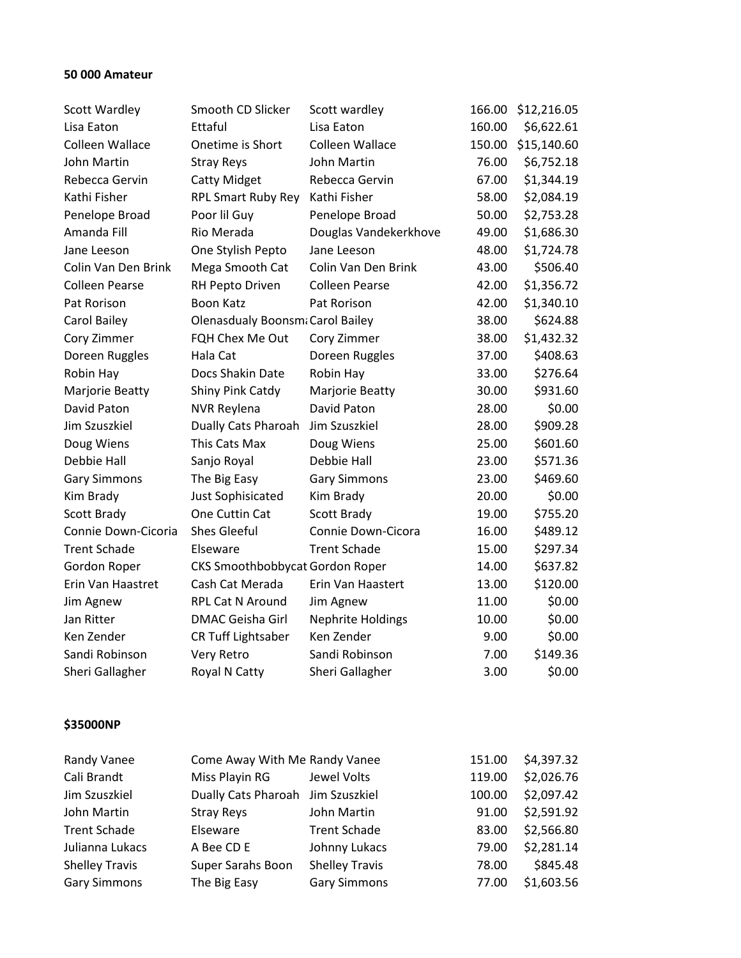### **50 000 Amateur**

| Scott Wardley         | Smooth CD Slicker                | Scott wardley            | 166.00 | \$12,216.05 |
|-----------------------|----------------------------------|--------------------------|--------|-------------|
| Lisa Eaton            | Ettaful                          | Lisa Eaton               | 160.00 | \$6,622.61  |
| Colleen Wallace       | Onetime is Short                 | Colleen Wallace          | 150.00 | \$15,140.60 |
| John Martin           | <b>Stray Reys</b>                | John Martin              | 76.00  | \$6,752.18  |
| Rebecca Gervin        | <b>Catty Midget</b>              | Rebecca Gervin           | 67.00  | \$1,344.19  |
| Kathi Fisher          | <b>RPL Smart Ruby Rey</b>        | Kathi Fisher             | 58.00  | \$2,084.19  |
| Penelope Broad        | Poor lil Guy                     | Penelope Broad           | 50.00  | \$2,753.28  |
| Amanda Fill           | Rio Merada                       | Douglas Vandekerkhove    | 49.00  | \$1,686.30  |
| Jane Leeson           | One Stylish Pepto                | Jane Leeson              | 48.00  | \$1,724.78  |
| Colin Van Den Brink   | Mega Smooth Cat                  | Colin Van Den Brink      | 43.00  | \$506.40    |
| <b>Colleen Pearse</b> | RH Pepto Driven                  | <b>Colleen Pearse</b>    | 42.00  | \$1,356.72  |
| Pat Rorison           | <b>Boon Katz</b>                 | Pat Rorison              | 42.00  | \$1,340.10  |
| Carol Bailey          | Olenasdualy Boonsmi Carol Bailey |                          | 38.00  | \$624.88    |
| Cory Zimmer           | FQH Chex Me Out                  | Cory Zimmer              | 38.00  | \$1,432.32  |
| Doreen Ruggles        | Hala Cat                         | Doreen Ruggles           | 37.00  | \$408.63    |
| Robin Hay             | Docs Shakin Date                 | Robin Hay                | 33.00  | \$276.64    |
| Marjorie Beatty       | Shiny Pink Catdy                 | Marjorie Beatty          | 30.00  | \$931.60    |
| David Paton           | <b>NVR Reylena</b>               | David Paton              | 28.00  | \$0.00      |
| Jim Szuszkiel         | Dually Cats Pharoah              | Jim Szuszkiel            | 28.00  | \$909.28    |
| Doug Wiens            | This Cats Max                    | Doug Wiens               | 25.00  | \$601.60    |
| Debbie Hall           | Sanjo Royal                      | Debbie Hall              | 23.00  | \$571.36    |
| Gary Simmons          | The Big Easy                     | <b>Gary Simmons</b>      | 23.00  | \$469.60    |
| Kim Brady             | <b>Just Sophisicated</b>         | Kim Brady                | 20.00  | \$0.00      |
| <b>Scott Brady</b>    | One Cuttin Cat                   | Scott Brady              | 19.00  | \$755.20    |
| Connie Down-Cicoria   | <b>Shes Gleeful</b>              | Connie Down-Cicora       | 16.00  | \$489.12    |
| <b>Trent Schade</b>   | Elseware                         | <b>Trent Schade</b>      | 15.00  | \$297.34    |
| Gordon Roper          | CKS Smoothbobbycat Gordon Roper  |                          | 14.00  | \$637.82    |
| Erin Van Haastret     | Cash Cat Merada                  | Erin Van Haastert        | 13.00  | \$120.00    |
| Jim Agnew             | RPL Cat N Around                 | Jim Agnew                | 11.00  | \$0.00      |
| Jan Ritter            | <b>DMAC Geisha Girl</b>          | <b>Nephrite Holdings</b> | 10.00  | \$0.00      |
| Ken Zender            | CR Tuff Lightsaber               | Ken Zender               | 9.00   | \$0.00      |
| Sandi Robinson        | Very Retro                       | Sandi Robinson           | 7.00   | \$149.36    |
| Sheri Gallagher       | Royal N Catty                    | Sheri Gallagher          | 3.00   | \$0.00      |
|                       |                                  |                          |        |             |

#### **\$35000NP**

| <b>Randy Vanee</b>    | Come Away With Me Randy Vanee     |                       | 151.00 | \$4,397.32 |
|-----------------------|-----------------------------------|-----------------------|--------|------------|
| Cali Brandt           | Miss Playin RG                    | Jewel Volts           | 119.00 | \$2,026.76 |
| Jim Szuszkiel         | Dually Cats Pharoah Jim Szuszkiel |                       | 100.00 | \$2,097.42 |
| John Martin           | <b>Stray Reys</b>                 | John Martin           | 91.00  | \$2,591.92 |
| <b>Trent Schade</b>   | Elseware                          | <b>Trent Schade</b>   | 83.00  | \$2,566.80 |
| Julianna Lukacs       | A Bee CD E                        | Johnny Lukacs         | 79.00  | \$2,281.14 |
| <b>Shelley Travis</b> | Super Sarahs Boon                 | <b>Shelley Travis</b> | 78.00  | \$845.48   |
| <b>Gary Simmons</b>   | The Big Easy                      | <b>Gary Simmons</b>   | 77.00  | \$1,603.56 |
|                       |                                   |                       |        |            |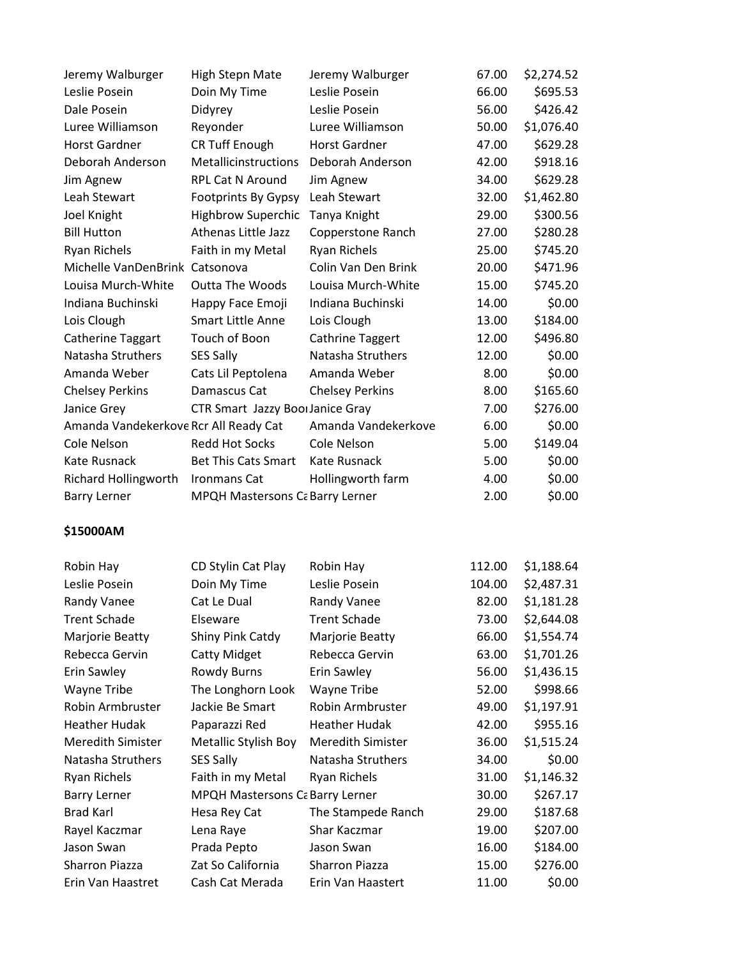| Jeremy Walburger                      | <b>High Stepn Mate</b>                     | Jeremy Walburger       | 67.00 | \$2,274.52 |
|---------------------------------------|--------------------------------------------|------------------------|-------|------------|
| Leslie Posein                         | Doin My Time                               | Leslie Posein          | 66.00 | \$695.53   |
| Dale Posein                           | Didyrey                                    | Leslie Posein          | 56.00 | \$426.42   |
| Luree Williamson                      | Reyonder                                   | Luree Williamson       | 50.00 | \$1,076.40 |
| <b>Horst Gardner</b>                  | <b>CR Tuff Enough</b>                      | <b>Horst Gardner</b>   | 47.00 | \$629.28   |
| Deborah Anderson                      | Metallicinstructions                       | Deborah Anderson       | 42.00 | \$918.16   |
| Jim Agnew                             | <b>RPL Cat N Around</b>                    | Jim Agnew              | 34.00 | \$629.28   |
| Leah Stewart                          | <b>Footprints By Gypsy</b>                 | Leah Stewart           | 32.00 | \$1,462.80 |
| Joel Knight                           | <b>Highbrow Superchic</b>                  | Tanya Knight           | 29.00 | \$300.56   |
| <b>Bill Hutton</b>                    | <b>Athenas Little Jazz</b>                 | Copperstone Ranch      | 27.00 | \$280.28   |
| <b>Ryan Richels</b>                   | Faith in my Metal                          | Ryan Richels           | 25.00 | \$745.20   |
| Michelle VanDenBrink Catsonova        |                                            | Colin Van Den Brink    | 20.00 | \$471.96   |
| Louisa Murch-White                    | <b>Outta The Woods</b>                     | Louisa Murch-White     | 15.00 | \$745.20   |
| Indiana Buchinski                     | Happy Face Emoji                           | Indiana Buchinski      | 14.00 | \$0.00     |
| Lois Clough                           | <b>Smart Little Anne</b>                   | Lois Clough            | 13.00 | \$184.00   |
| Catherine Taggart                     | Touch of Boon                              | Cathrine Taggert       | 12.00 | \$496.80   |
| Natasha Struthers                     | <b>SES Sally</b>                           | Natasha Struthers      | 12.00 | \$0.00     |
| Amanda Weber                          | Cats Lil Peptolena                         | Amanda Weber           | 8.00  | \$0.00     |
| <b>Chelsey Perkins</b>                | Damascus Cat                               | <b>Chelsey Perkins</b> | 8.00  | \$165.60   |
| Janice Grey                           | CTR Smart Jazzy BoorJanice Gray            |                        | 7.00  | \$276.00   |
| Amanda Vandekerkove Rcr All Ready Cat |                                            | Amanda Vandekerkove    | 6.00  | \$0.00     |
| Cole Nelson                           | <b>Redd Hot Socks</b>                      | Cole Nelson            | 5.00  | \$149.04   |
| Kate Rusnack                          | <b>Bet This Cats Smart</b>                 | Kate Rusnack           | 5.00  | \$0.00     |
| Richard Hollingworth                  | <b>Ironmans Cat</b>                        | Hollingworth farm      | 4.00  | \$0.00     |
| <b>Barry Lerner</b>                   | <b>MPQH Mastersons C&amp; Barry Lerner</b> |                        | 2.00  | \$0.00     |
|                                       |                                            |                        |       |            |

# **\$15000AM**

| CD Stylin Cat Play                     | Robin Hay                | 112.00 | \$1,188.64 |
|----------------------------------------|--------------------------|--------|------------|
| Doin My Time                           | Leslie Posein            | 104.00 | \$2,487.31 |
| Cat Le Dual                            | Randy Vanee              | 82.00  | \$1,181.28 |
| Elseware                               | <b>Trent Schade</b>      | 73.00  | \$2,644.08 |
| Shiny Pink Catdy                       | Marjorie Beatty          | 66.00  | \$1,554.74 |
| <b>Catty Midget</b>                    | Rebecca Gervin           | 63.00  | \$1,701.26 |
| <b>Rowdy Burns</b>                     | Erin Sawley              | 56.00  | \$1,436.15 |
| The Longhorn Look                      | Wayne Tribe              | 52.00  | \$998.66   |
| Jackie Be Smart                        | Robin Armbruster         | 49.00  | \$1,197.91 |
| Paparazzi Red                          | <b>Heather Hudak</b>     | 42.00  | \$955.16   |
| Metallic Stylish Boy                   | <b>Meredith Simister</b> | 36.00  | \$1,515.24 |
| SES Sally                              | Natasha Struthers        | 34.00  | \$0.00     |
| Faith in my Metal                      | Ryan Richels             | 31.00  | \$1,146.32 |
| <b>MPQH Mastersons Ca Barry Lerner</b> |                          | 30.00  | \$267.17   |
| Hesa Rey Cat                           | The Stampede Ranch       | 29.00  | \$187.68   |
| Lena Raye                              | Shar Kaczmar             | 19.00  | \$207.00   |
| Prada Pepto                            | Jason Swan               | 16.00  | \$184.00   |
| Zat So California                      | Sharron Piazza           | 15.00  | \$276.00   |
| Cash Cat Merada                        | Erin Van Haastert        | 11.00  | \$0.00     |
|                                        |                          |        |            |